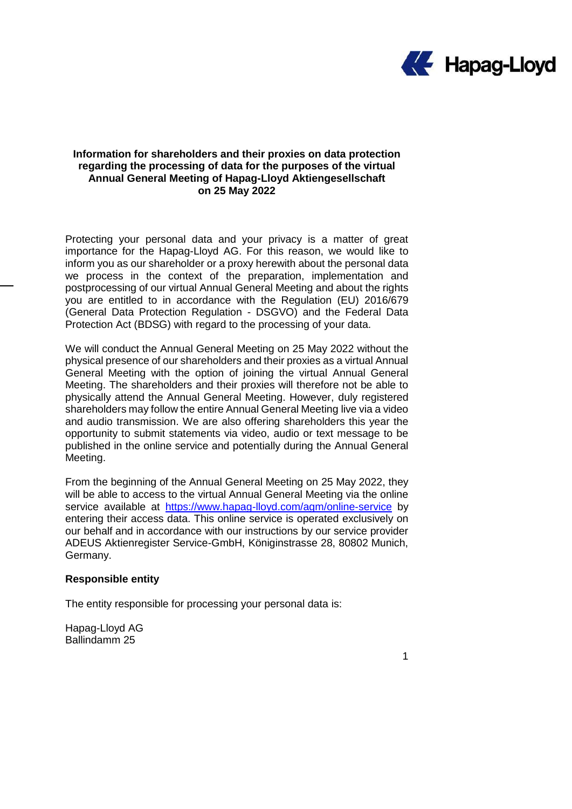

## **Information for shareholders and their proxies on data protection regarding the processing of data for the purposes of the virtual Annual General Meeting of Hapag-Lloyd Aktiengesellschaft on 25 May 2022**

Protecting your personal data and your privacy is a matter of great importance for the Hapag-Lloyd AG. For this reason, we would like to inform you as our shareholder or a proxy herewith about the personal data we process in the context of the preparation, implementation and postprocessing of our virtual Annual General Meeting and about the rights you are entitled to in accordance with the Regulation (EU) 2016/679 (General Data Protection Regulation - DSGVO) and the Federal Data Protection Act (BDSG) with regard to the processing of your data.

We will conduct the Annual General Meeting on 25 May 2022 without the physical presence of our shareholders and their proxies as a virtual Annual General Meeting with the option of joining the virtual Annual General Meeting. The shareholders and their proxies will therefore not be able to physically attend the Annual General Meeting. However, duly registered shareholders may follow the entire Annual General Meeting live via a video and audio transmission. We are also offering shareholders this year the opportunity to submit statements via video, audio or text message to be published in the online service and potentially during the Annual General Meeting.

From the beginning of the Annual General Meeting on 25 May 2022, they will be able to access to the virtual Annual General Meeting via the online service available at [https://www.hapag-lloyd.com/agm/online-service](https://www.hapag-lloyd.com/hv/online-service) by entering their access data. This online service is operated exclusively on our behalf and in accordance with our instructions by our service provider ADEUS Aktienregister Service-GmbH, Königinstrasse 28, 80802 Munich, Germany.

### **Responsible entity**

The entity responsible for processing your personal data is:

Hapag-Lloyd AG Ballindamm 25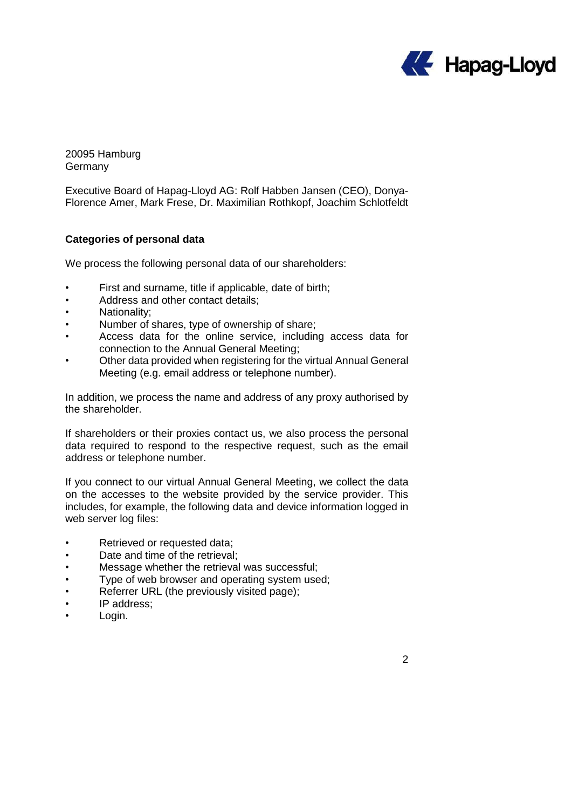

20095 Hamburg Germany

Executive Board of Hapag-Lloyd AG: Rolf Habben Jansen (CEO), Donya-Florence Amer, Mark Frese, Dr. Maximilian Rothkopf, Joachim Schlotfeldt

# **Categories of personal data**

We process the following personal data of our shareholders:

- First and surname, title if applicable, date of birth;
- Address and other contact details;
- Nationality;
- Number of shares, type of ownership of share;
- Access data for the online service, including access data for connection to the Annual General Meeting;
- Other data provided when registering for the virtual Annual General Meeting (e.g. email address or telephone number).

In addition, we process the name and address of any proxy authorised by the shareholder.

If shareholders or their proxies contact us, we also process the personal data required to respond to the respective request, such as the email address or telephone number.

If you connect to our virtual Annual General Meeting, we collect the data on the accesses to the website provided by the service provider. This includes, for example, the following data and device information logged in web server log files:

- Retrieved or requested data;
- Date and time of the retrieval;
- Message whether the retrieval was successful;
- Type of web browser and operating system used;
- Referrer URL (the previously visited page);
- IP address:
- Login.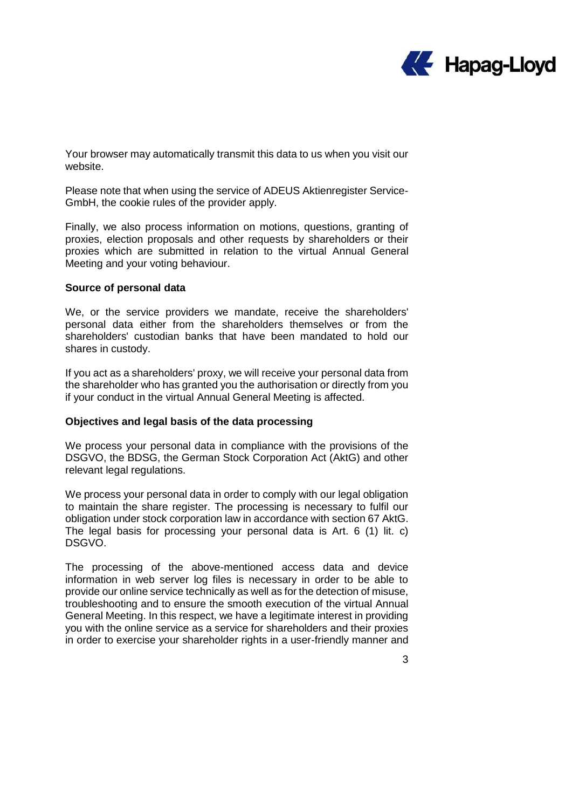

Your browser may automatically transmit this data to us when you visit our website.

Please note that when using the service of ADEUS Aktienregister Service-GmbH, the cookie rules of the provider apply.

Finally, we also process information on motions, questions, granting of proxies, election proposals and other requests by shareholders or their proxies which are submitted in relation to the virtual Annual General Meeting and your voting behaviour.

#### **Source of personal data**

We, or the service providers we mandate, receive the shareholders' personal data either from the shareholders themselves or from the shareholders' custodian banks that have been mandated to hold our shares in custody.

If you act as a shareholders' proxy, we will receive your personal data from the shareholder who has granted you the authorisation or directly from you if your conduct in the virtual Annual General Meeting is affected.

# **Objectives and legal basis of the data processing**

We process your personal data in compliance with the provisions of the DSGVO, the BDSG, the German Stock Corporation Act (AktG) and other relevant legal regulations.

We process your personal data in order to comply with our legal obligation to maintain the share register. The processing is necessary to fulfil our obligation under stock corporation law in accordance with section 67 AktG. The legal basis for processing your personal data is Art. 6 (1) lit. c) DSGVO.

The processing of the above-mentioned access data and device information in web server log files is necessary in order to be able to provide our online service technically as well as for the detection of misuse, troubleshooting and to ensure the smooth execution of the virtual Annual General Meeting. In this respect, we have a legitimate interest in providing you with the online service as a service for shareholders and their proxies in order to exercise your shareholder rights in a user-friendly manner and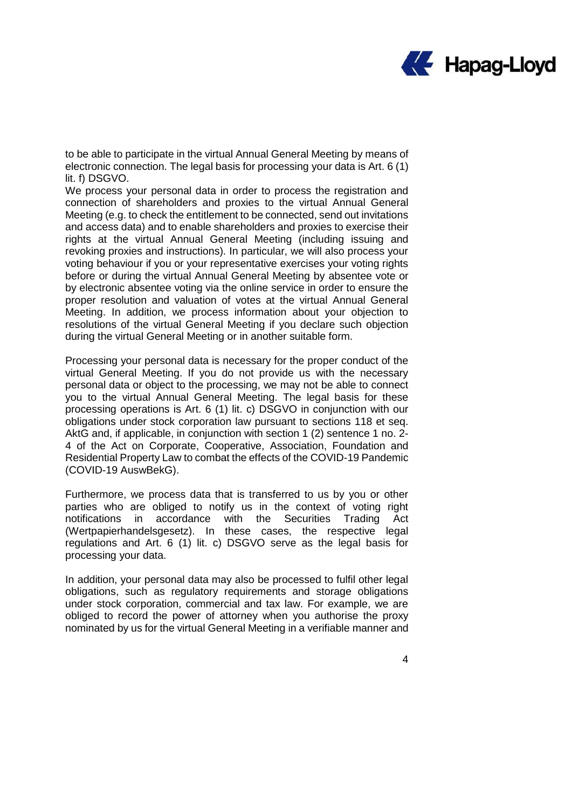

to be able to participate in the virtual Annual General Meeting by means of electronic connection. The legal basis for processing your data is Art. 6 (1) lit. f) DSGVO.

We process your personal data in order to process the registration and connection of shareholders and proxies to the virtual Annual General Meeting (e.g. to check the entitlement to be connected, send out invitations and access data) and to enable shareholders and proxies to exercise their rights at the virtual Annual General Meeting (including issuing and revoking proxies and instructions). In particular, we will also process your voting behaviour if you or your representative exercises your voting rights before or during the virtual Annual General Meeting by absentee vote or by electronic absentee voting via the online service in order to ensure the proper resolution and valuation of votes at the virtual Annual General Meeting. In addition, we process information about your objection to resolutions of the virtual General Meeting if you declare such objection during the virtual General Meeting or in another suitable form.

Processing your personal data is necessary for the proper conduct of the virtual General Meeting. If you do not provide us with the necessary personal data or object to the processing, we may not be able to connect you to the virtual Annual General Meeting. The legal basis for these processing operations is Art. 6 (1) lit. c) DSGVO in conjunction with our obligations under stock corporation law pursuant to sections 118 et seq. AktG and, if applicable, in conjunction with section 1 (2) sentence 1 no. 2- 4 of the Act on Corporate, Cooperative, Association, Foundation and Residential Property Law to combat the effects of the COVID-19 Pandemic (COVID-19 AuswBekG).

Furthermore, we process data that is transferred to us by you or other parties who are obliged to notify us in the context of voting right notifications in accordance with the Securities Trading Act (Wertpapierhandelsgesetz). In these cases, the respective legal regulations and Art. 6 (1) lit. c) DSGVO serve as the legal basis for processing your data.

In addition, your personal data may also be processed to fulfil other legal obligations, such as regulatory requirements and storage obligations under stock corporation, commercial and tax law. For example, we are obliged to record the power of attorney when you authorise the proxy nominated by us for the virtual General Meeting in a verifiable manner and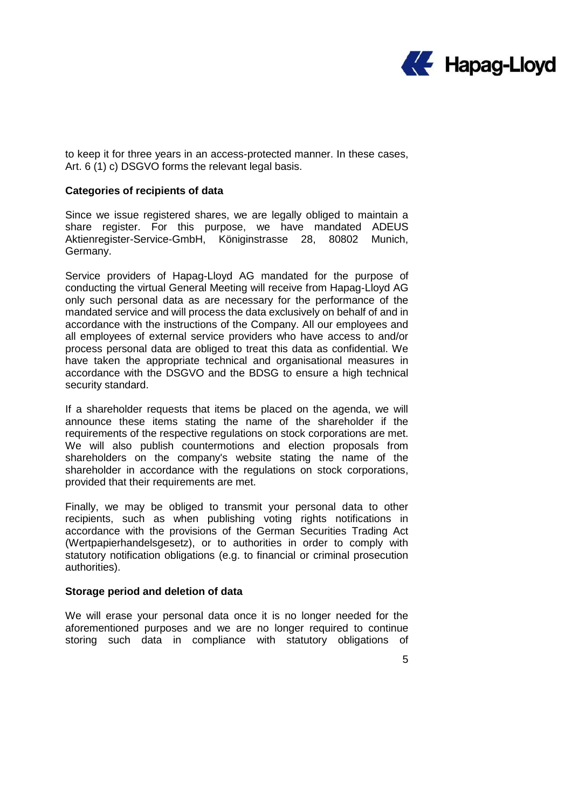

to keep it for three years in an access-protected manner. In these cases, Art. 6 (1) c) DSGVO forms the relevant legal basis.

### **Categories of recipients of data**

Since we issue registered shares, we are legally obliged to maintain a share register. For this purpose, we have mandated ADEUS Aktienregister-Service-GmbH, Königinstrasse 28, 80802 Munich, Germany.

Service providers of Hapag-Lloyd AG mandated for the purpose of conducting the virtual General Meeting will receive from Hapag-Lloyd AG only such personal data as are necessary for the performance of the mandated service and will process the data exclusively on behalf of and in accordance with the instructions of the Company. All our employees and all employees of external service providers who have access to and/or process personal data are obliged to treat this data as confidential. We have taken the appropriate technical and organisational measures in accordance with the DSGVO and the BDSG to ensure a high technical security standard.

If a shareholder requests that items be placed on the agenda, we will announce these items stating the name of the shareholder if the requirements of the respective regulations on stock corporations are met. We will also publish countermotions and election proposals from shareholders on the company's website stating the name of the shareholder in accordance with the regulations on stock corporations, provided that their requirements are met.

Finally, we may be obliged to transmit your personal data to other recipients, such as when publishing voting rights notifications in accordance with the provisions of the German Securities Trading Act (Wertpapierhandelsgesetz), or to authorities in order to comply with statutory notification obligations (e.g. to financial or criminal prosecution authorities).

#### **Storage period and deletion of data**

We will erase your personal data once it is no longer needed for the aforementioned purposes and we are no longer required to continue storing such data in compliance with statutory obligations of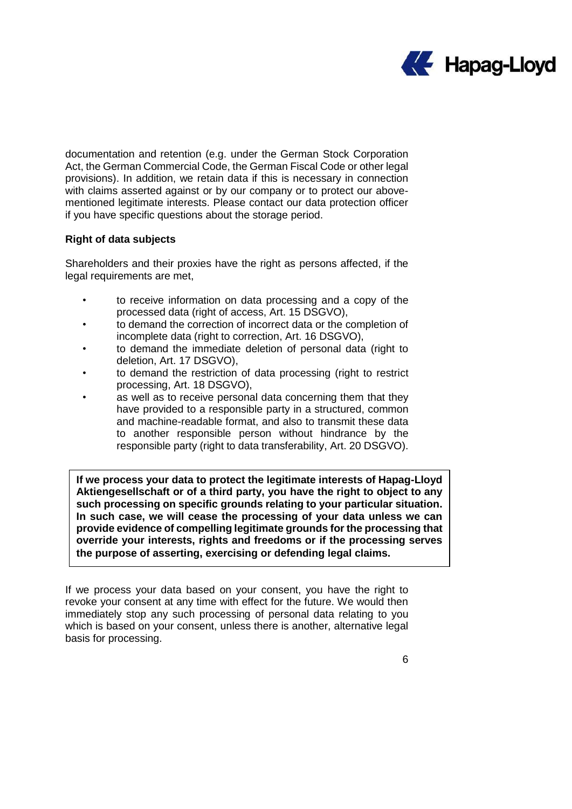

documentation and retention (e.g. under the German Stock Corporation Act, the German Commercial Code, the German Fiscal Code or other legal provisions). In addition, we retain data if this is necessary in connection with claims asserted against or by our company or to protect our abovementioned legitimate interests. Please contact our data protection officer if you have specific questions about the storage period.

## **Right of data subjects**

Shareholders and their proxies have the right as persons affected, if the legal requirements are met,

- to receive information on data processing and a copy of the processed data (right of access, Art. 15 DSGVO),
- to demand the correction of incorrect data or the completion of incomplete data (right to correction, Art. 16 DSGVO),
- to demand the immediate deletion of personal data (right to deletion, Art. 17 DSGVO),
- to demand the restriction of data processing (right to restrict processing, Art. 18 DSGVO),
- as well as to receive personal data concerning them that they have provided to a responsible party in a structured, common and machine-readable format, and also to transmit these data to another responsible person without hindrance by the responsible party (right to data transferability, Art. 20 DSGVO).

**If we process your data to protect the legitimate interests of Hapag-Lloyd Aktiengesellschaft or of a third party, you have the right to object to any such processing on specific grounds relating to your particular situation. In such case, we will cease the processing of your data unless we can provide evidence of compelling legitimate grounds for the processing that override your interests, rights and freedoms or if the processing serves the purpose of asserting, exercising or defending legal claims.**

If we process your data based on your consent, you have the right to revoke your consent at any time with effect for the future. We would then immediately stop any such processing of personal data relating to you which is based on your consent, unless there is another, alternative legal basis for processing.